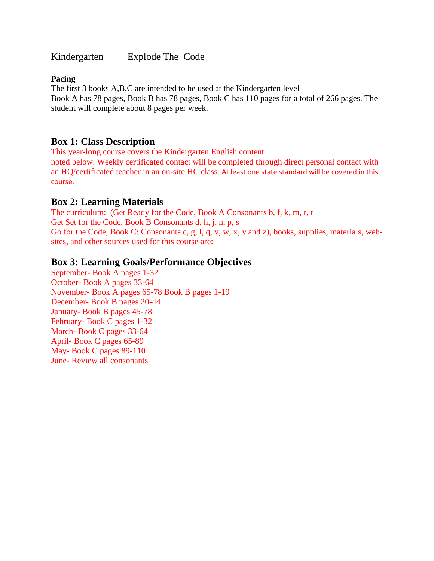Kindergarten Explode The Code

### **Pacing**

The first 3 books A,B,C are intended to be used at the Kindergarten level Book A has 78 pages, Book B has 78 pages, Book C has 110 pages for a total of 266 pages. The student will complete about 8 pages per week.

# **Box 1: Class Description**

This year-long course covers the Kindergarten English content noted below. Weekly certificated contact will be completed through direct personal contact with an HQ/certificated teacher in an on-site HC class. At least one state standard will be covered in this course.

# **Box 2: Learning Materials**

The curriculum: (Get Ready for the Code, Book A Consonants b, f, k, m, r, t Get Set for the Code, Book B Consonants d, h, j, n, p, s Go for the Code, Book C: Consonants c, g, l, q, v, w, x, y and z), books, supplies, materials, websites, and other sources used for this course are:

# **Box 3: Learning Goals/Performance Objectives**

September- Book A pages 1-32 October- Book A pages 33-64 November- Book A pages 65-78 Book B pages 1-19 December- Book B pages 20-44 January- Book B pages 45-78 February- Book C pages 1-32 March- Book C pages 33-64 April- Book C pages 65-89 May- Book C pages 89-110 June- Review all consonants